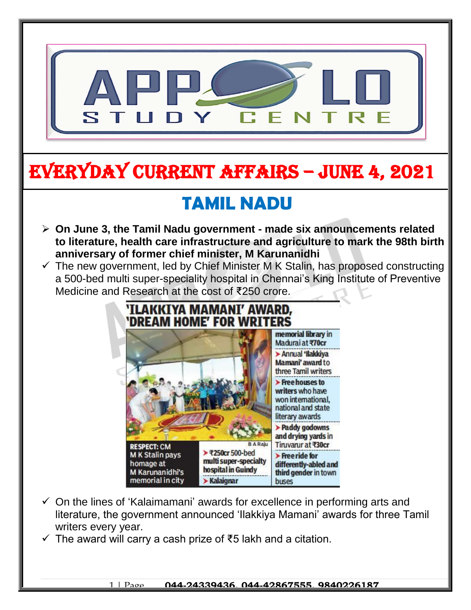

# EVERYDAY CURRENT AFFAIRS – jUNE 4, 2021

-

## **TAMIL NADU**

- **On June 3, the Tamil Nadu government - made six announcements related to literature, health care infrastructure and agriculture to mark the 98th birth anniversary of former chief minister, M Karunanidhi**
- $\checkmark$  The new government, led by Chief Minister M K Stalin, has proposed constructing a 500-bed multi super-speciality hospital in Chennai's King Institute of Preventive Medicine and Research at the cost of ₹250 crore.



- $\checkmark$  On the lines of 'Kalaimamani' awards for excellence in performing arts and literature, the government announced 'Ilakkiya Mamani' awards for three Tamil writers every year.
- $\checkmark$  The award will carry a cash prize of ₹5 lakh and a citation.

#### 1 | Page **044-24339436, 044-42867555, 9840226187**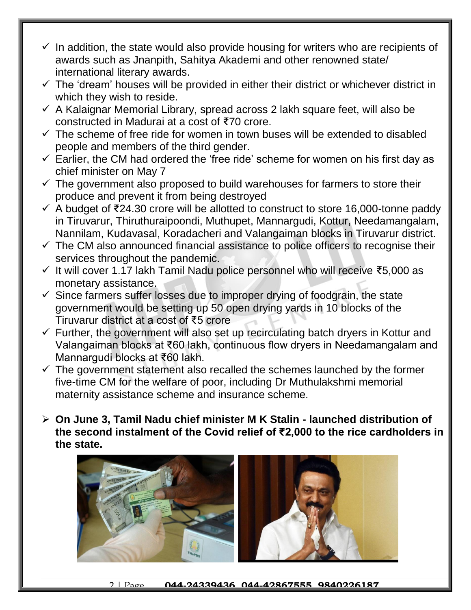- $\checkmark$  In addition, the state would also provide housing for writers who are recipients of awards such as Jnanpith, Sahitya Akademi and other renowned state/ international literary awards.
- $\checkmark$  The 'dream' houses will be provided in either their district or whichever district in which they wish to reside.
- $\checkmark$  A Kalaignar Memorial Library, spread across 2 lakh square feet, will also be constructed in Madurai at a cost of ₹70 crore.
- $\checkmark$  The scheme of free ride for women in town buses will be extended to disabled people and members of the third gender.
- $\checkmark$  Earlier, the CM had ordered the 'free ride' scheme for women on his first day as chief minister on May 7
- $\checkmark$  The government also proposed to build warehouses for farmers to store their produce and prevent it from being destroyed
- A budget of ₹24.30 crore will be allotted to construct to store 16,000-tonne paddy in Tiruvarur, Thiruthuraipoondi, Muthupet, Mannargudi, Kottur, Needamangalam, Nannilam, Kudavasal, Koradacheri and Valangaiman blocks in Tiruvarur district.
- $\checkmark$  The CM also announced financial assistance to police officers to recognise their services throughout the pandemic.
- It will cover 1.17 lakh Tamil Nadu police personnel who will receive ₹5,000 as monetary assistance.
- $\checkmark$  Since farmers suffer losses due to improper drying of foodgrain, the state government would be setting up 50 open drying yards in 10 blocks of the Tiruvarur district at a cost of ₹5 crore
- $\checkmark$  Further, the government will also set up recirculating batch dryers in Kottur and Valangaiman blocks at ₹60 lakh, continuous flow dryers in Needamangalam and Mannargudi blocks at ₹60 lakh.
- $\checkmark$  The government statement also recalled the schemes launched by the former five-time CM for the welfare of poor, including Dr Muthulakshmi memorial maternity assistance scheme and insurance scheme.
- **On June 3, Tamil Nadu chief minister M K Stalin - launched distribution of the second instalment of the Covid relief of ₹2,000 to the rice cardholders in the state.**

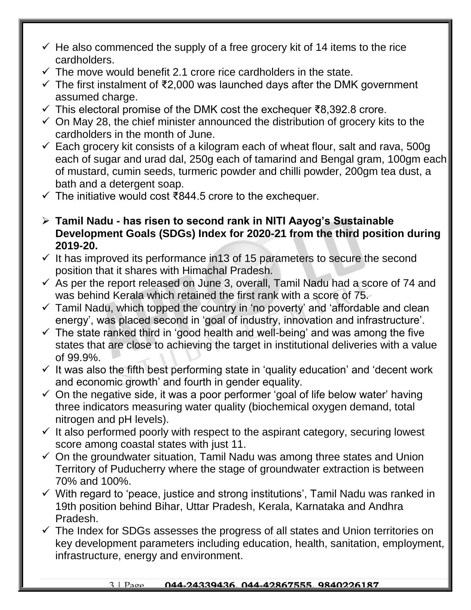- $\checkmark$  He also commenced the supply of a free grocery kit of 14 items to the rice cardholders.
- $\checkmark$  The move would benefit 2.1 crore rice cardholders in the state.
- $\checkmark$  The first instalment of ₹2,000 was launched days after the DMK government assumed charge.
- This electoral promise of the DMK cost the exchequer ₹8,392.8 crore.
- $\checkmark$  On May 28, the chief minister announced the distribution of grocery kits to the cardholders in the month of June.
- $\checkmark$  Each grocery kit consists of a kilogram each of wheat flour, salt and rava, 500g each of sugar and urad dal, 250g each of tamarind and Bengal gram, 100gm each of mustard, cumin seeds, turmeric powder and chilli powder, 200gm tea dust, a bath and a detergent soap.
- The initiative would cost ₹844.5 crore to the exchequer.
- **Tamil Nadu - has risen to second rank in NITI Aayog's Sustainable Development Goals (SDGs) Index for 2020-21 from the third position during 2019-20.**
- $\checkmark$  It has improved its performance in 13 of 15 parameters to secure the second position that it shares with Himachal Pradesh.
- $\checkmark$  As per the report released on June 3, overall, Tamil Nadu had a score of 74 and was behind Kerala which retained the first rank with a score of 75.
- $\checkmark$  Tamil Nadu, which topped the country in 'no poverty' and 'affordable and clean energy', was placed second in 'goal of industry, innovation and infrastructure'.
- $\checkmark$  The state ranked third in 'good health and well-being' and was among the five states that are close to achieving the target in institutional deliveries with a value of 99.9%.
- $\checkmark$  It was also the fifth best performing state in 'quality education' and 'decent work and economic growth' and fourth in gender equality.
- $\checkmark$  On the negative side, it was a poor performer 'goal of life below water' having three indicators measuring water quality (biochemical oxygen demand, total nitrogen and pH levels).
- $\checkmark$  It also performed poorly with respect to the aspirant category, securing lowest score among coastal states with just 11.
- $\checkmark$  On the groundwater situation, Tamil Nadu was among three states and Union Territory of Puducherry where the stage of groundwater extraction is between 70% and 100%.
- $\checkmark$  With regard to 'peace, justice and strong institutions', Tamil Nadu was ranked in 19th position behind Bihar, Uttar Pradesh, Kerala, Karnataka and Andhra Pradesh.
- $\checkmark$  The Index for SDGs assesses the progress of all states and Union territories on key development parameters including education, health, sanitation, employment, infrastructure, energy and environment.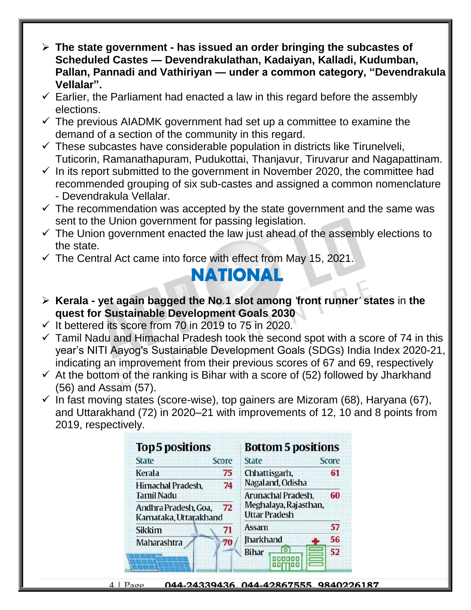- **The state government - has issued an order bringing the subcastes of Scheduled Castes — Devendrakulathan, Kadaiyan, Kalladi, Kudumban, Pallan, Pannadi and Vathiriyan — under a common category, "Devendrakula Vellalar".**
- $\checkmark$  Earlier, the Parliament had enacted a law in this regard before the assembly elections.
- $\checkmark$  The previous AIADMK government had set up a committee to examine the demand of a section of the community in this regard.
- $\checkmark$  These subcastes have considerable population in districts like Tirunelveli, Tuticorin, Ramanathapuram, Pudukottai, Thanjavur, Tiruvarur and Nagapattinam.
- $\checkmark$  In its report submitted to the government in November 2020, the committee had recommended grouping of six sub-castes and assigned a common nomenclature - Devendrakula Vellalar.
- $\checkmark$  The recommendation was accepted by the state government and the same was sent to the Union government for passing legislation.
- $\checkmark$  The Union government enacted the law just ahead of the assembly elections to the state.
- $\checkmark$  The Central Act came into force with effect from May 15, 2021.

## **NATIONAL**

- **Kerala - yet again bagged the No***.***1 slot among** *'***front runner***'* **states** in **the quest for Sustainable Development Goals 2030**
- $\checkmark$  It bettered its score from 70 in 2019 to 75 in 2020.
- $\checkmark$  Tamil Nadu and Himachal Pradesh took the second spot with a score of 74 in this year's NITI Aayog's Sustainable Development Goals (SDGs) India Index 2020-21, indicating an improvement from their previous scores of 67 and 69, respectively
- $\checkmark$  At the bottom of the ranking is Bihar with a score of (52) followed by Jharkhand (56) and Assam (57).
- $\checkmark$  In fast moving states (score-wise), top gainers are Mizoram (68), Haryana (67), and Uttarakhand (72) in 2020–21 with improvements of 12, 10 and 8 points from 2019, respectively.

| <b>Top 5 positions</b> |       | <b>Bottom 5 positions</b> |       |
|------------------------|-------|---------------------------|-------|
| <b>State</b>           | Score | <b>State</b>              | Score |
| Kerala                 | 75    | Chhattisgarh,             | 61    |
| Himachal Pradesh,      | 74    | Nagaland, Odisha          |       |
| <b>Tamil Nadu</b>      |       | Arunachal Pradesh,        | 60    |
| Andhra Pradesh, Goa,   | 72    | Meghalaya, Rajasthan,     |       |
| Karnataka, Uttarakhand |       | <b>Uttar Pradesh</b>      |       |
| <b>Sikkim</b>          | 71    | Assam                     | 57    |
| Maharashtra            | 70    | <b>Iharkhand</b>          | 56    |
|                        |       | <b>Bihar</b>              | 52    |
|                        |       |                           |       |
|                        |       |                           |       |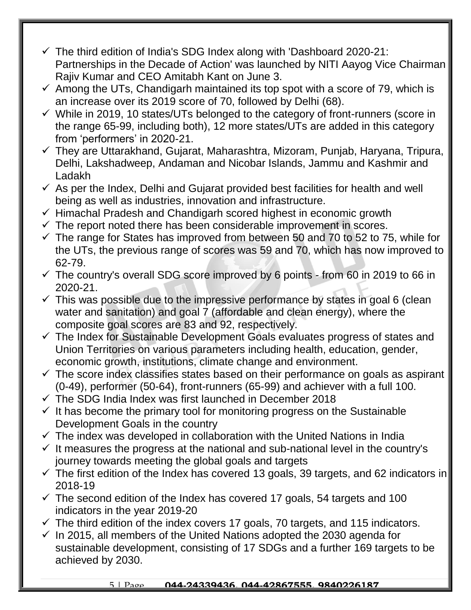- $\checkmark$  The third edition of India's SDG Index along with 'Dashboard 2020-21: Partnerships in the Decade of Action' was launched by NITI Aayog Vice Chairman Rajiv Kumar and CEO Amitabh Kant on June 3.
- $\checkmark$  Among the UTs, Chandigarh maintained its top spot with a score of 79, which is an increase over its 2019 score of 70, followed by Delhi (68).
- $\checkmark$  While in 2019, 10 states/UTs belonged to the category of front-runners (score in the range 65-99, including both), 12 more states/UTs are added in this category from 'performers' in 2020-21.
- They are Uttarakhand, Gujarat, Maharashtra, Mizoram, Punjab, Haryana, Tripura, Delhi, Lakshadweep, Andaman and Nicobar Islands, Jammu and Kashmir and Ladakh
- $\checkmark$  As per the Index, Delhi and Gujarat provided best facilities for health and well being as well as industries, innovation and infrastructure.
- $\checkmark$  Himachal Pradesh and Chandigarh scored highest in economic growth
- $\checkmark$  The report noted there has been considerable improvement in scores.
- $\checkmark$  The range for States has improved from between 50 and 70 to 52 to 75, while for the UTs, the previous range of scores was 59 and 70, which has now improved to 62-79.
- $\checkmark$  The country's overall SDG score improved by 6 points from 60 in 2019 to 66 in 2020-21.
- $\checkmark$  This was possible due to the impressive performance by states in goal 6 (clean water and sanitation) and goal 7 (affordable and clean energy), where the composite goal scores are 83 and 92, respectively.
- $\checkmark$  The Index for Sustainable Development Goals evaluates progress of states and Union Territories on various parameters including health, education, gender, economic growth, institutions, climate change and environment.
- $\checkmark$  The score index classifies states based on their performance on goals as aspirant (0-49), performer (50-64), front-runners (65-99) and achiever with a full 100.
- $\checkmark$  The SDG India Index was first launched in December 2018
- $\checkmark$  It has become the primary tool for monitoring progress on the Sustainable Development Goals in the country
- $\checkmark$  The index was developed in collaboration with the United Nations in India
- $\checkmark$  It measures the progress at the national and sub-national level in the country's journey towards meeting the global goals and targets
- $\checkmark$  The first edition of the Index has covered 13 goals, 39 targets, and 62 indicators in 2018-19
- $\checkmark$  The second edition of the Index has covered 17 goals, 54 targets and 100 indicators in the year 2019-20
- $\checkmark$  The third edition of the index covers 17 goals, 70 targets, and 115 indicators.
- $\checkmark$  In 2015, all members of the United Nations adopted the 2030 agenda for sustainable development, consisting of 17 SDGs and a further 169 targets to be achieved by 2030.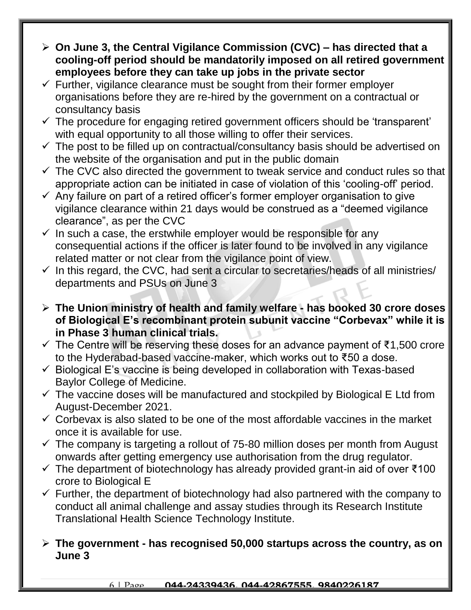- **On June 3, the Central Vigilance Commission (CVC) – has directed that a cooling-off period should be mandatorily imposed on all retired government employees before they can take up jobs in the private sector**
- $\checkmark$  Further, vigilance clearance must be sought from their former employer organisations before they are re-hired by the government on a contractual or consultancy basis
- $\checkmark$  The procedure for engaging retired government officers should be 'transparent' with equal opportunity to all those willing to offer their services.
- $\checkmark$  The post to be filled up on contractual/consultancy basis should be advertised on the website of the organisation and put in the public domain
- $\checkmark$  The CVC also directed the government to tweak service and conduct rules so that appropriate action can be initiated in case of violation of this 'cooling-off' period.
- $\checkmark$  Any failure on part of a retired officer's former employer organisation to give vigilance clearance within 21 days would be construed as a "deemed vigilance clearance", as per the CVC
- $\checkmark$  In such a case, the erstwhile employer would be responsible for any consequential actions if the officer is later found to be involved in any vigilance related matter or not clear from the vigilance point of view.
- $\checkmark$  In this regard, the CVC, had sent a circular to secretaries/heads of all ministries/ departments and PSUs on June 3
- **The Union ministry of health and family welfare - has booked 30 crore doses of Biological E's recombinant protein subunit vaccine "Corbevax" while it is in Phase 3 human clinical trials.**
- $\checkmark$  The Centre will be reserving these doses for an advance payment of ₹1,500 crore to the Hyderabad-based vaccine-maker, which works out to ₹50 a dose.
- $\checkmark$  Biological E's vaccine is being developed in collaboration with Texas-based Baylor College of Medicine.
- $\checkmark$  The vaccine doses will be manufactured and stockpiled by Biological E Ltd from August-December 2021.
- $\checkmark$  Corbevax is also slated to be one of the most affordable vaccines in the market once it is available for use.
- $\checkmark$  The company is targeting a rollout of 75-80 million doses per month from August onwards after getting emergency use authorisation from the drug regulator.
- $\checkmark$  The department of biotechnology has already provided grant-in aid of over  $\check{\tau}$ 100 crore to Biological E
- $\checkmark$  Further, the department of biotechnology had also partnered with the company to conduct all animal challenge and assay studies through its Research Institute Translational Health Science Technology Institute.

### **The government - has recognised 50,000 startups across the country, as on June 3**

### 6 | Page **044-24339436, 044-42867555, 9840226187**